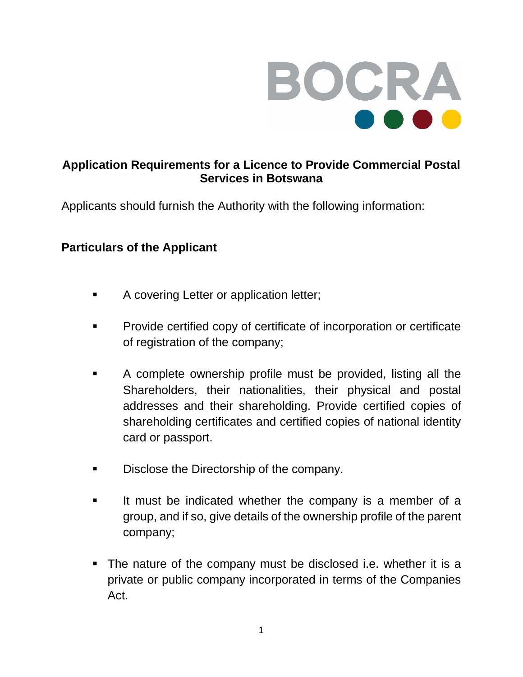

## **Application Requirements for a Licence to Provide Commercial Postal Services in Botswana**

Applicants should furnish the Authority with the following information:

## **Particulars of the Applicant**

- **A covering Letter or application letter;**
- **Provide certified copy of certificate of incorporation or certificate** of registration of the company;
- A complete ownership profile must be provided, listing all the Shareholders, their nationalities, their physical and postal addresses and their shareholding. Provide certified copies of shareholding certificates and certified copies of national identity card or passport.
- **Disclose the Directorship of the company.**
- It must be indicated whether the company is a member of a group, and if so, give details of the ownership profile of the parent company;
- The nature of the company must be disclosed i.e. whether it is a private or public company incorporated in terms of the Companies Act.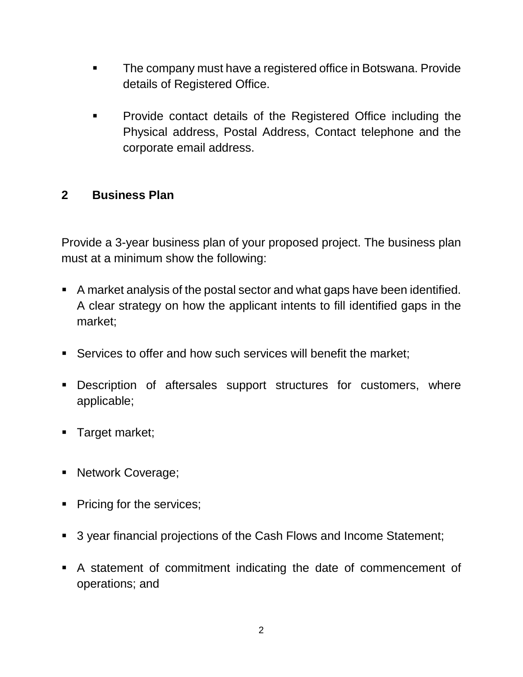- The company must have a registered office in Botswana. Provide details of Registered Office.
- **Provide contact details of the Registered Office including the** Physical address, Postal Address, Contact telephone and the corporate email address.

## **2 Business Plan**

Provide a 3-year business plan of your proposed project. The business plan must at a minimum show the following:

- A market analysis of the postal sector and what gaps have been identified. A clear strategy on how the applicant intents to fill identified gaps in the market;
- Services to offer and how such services will benefit the market;
- **-** Description of aftersales support structures for customers, where applicable;
- **Target market;**
- Network Coverage;
- Pricing for the services;
- 3 year financial projections of the Cash Flows and Income Statement;
- A statement of commitment indicating the date of commencement of operations; and